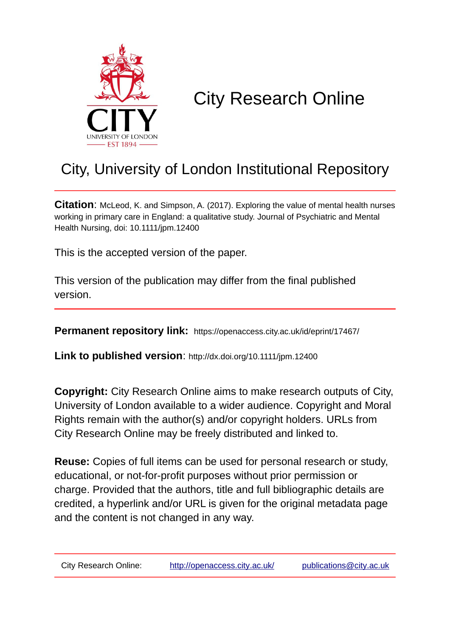

# City Research Online

# City, University of London Institutional Repository

**Citation**: McLeod, K. and Simpson, A. (2017). Exploring the value of mental health nurses working in primary care in England: a qualitative study. Journal of Psychiatric and Mental Health Nursing, doi: 10.1111/jpm.12400

This is the accepted version of the paper.

This version of the publication may differ from the final published version.

**Permanent repository link:** https://openaccess.city.ac.uk/id/eprint/17467/

**Link to published version**: http://dx.doi.org/10.1111/jpm.12400

**Copyright:** City Research Online aims to make research outputs of City, University of London available to a wider audience. Copyright and Moral Rights remain with the author(s) and/or copyright holders. URLs from City Research Online may be freely distributed and linked to.

**Reuse:** Copies of full items can be used for personal research or study, educational, or not-for-profit purposes without prior permission or charge. Provided that the authors, title and full bibliographic details are credited, a hyperlink and/or URL is given for the original metadata page and the content is not changed in any way.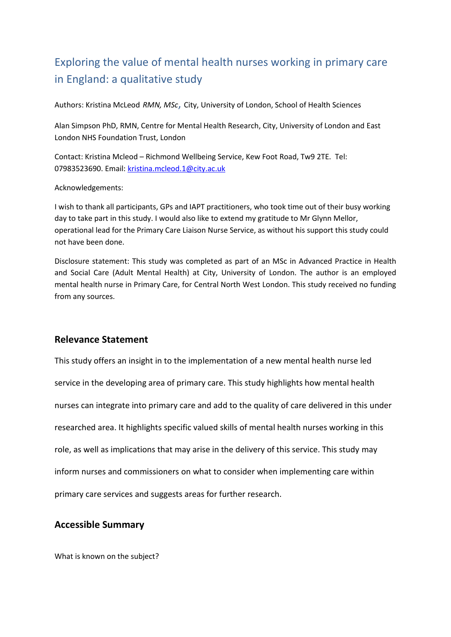# Exploring the value of mental health nurses working in primary care in England: a qualitative study

Authors: Kristina McLeod *RMN, MSc*, City, University of London, School of Health Sciences

Alan Simpson PhD, RMN, Centre for Mental Health Research, City, University of London and East London NHS Foundation Trust, London

Contact: Kristina Mcleod – Richmond Wellbeing Service, Kew Foot Road, Tw9 2TE. Tel: 07983523690. Email: [kristina.mcleod.1@city.ac.uk](mailto:kristina.mcleod.1@city.ac.uk)

## Acknowledgements:

I wish to thank all participants, GPs and IAPT practitioners, who took time out of their busy working day to take part in this study. I would also like to extend my gratitude to Mr Glynn Mellor, operational lead for the Primary Care Liaison Nurse Service, as without his support this study could not have been done.

Disclosure statement: This study was completed as part of an MSc in Advanced Practice in Health and Social Care (Adult Mental Health) at City, University of London. The author is an employed mental health nurse in Primary Care, for Central North West London. This study received no funding from any sources.

# **Relevance Statement**

This study offers an insight in to the implementation of a new mental health nurse led service in the developing area of primary care. This study highlights how mental health nurses can integrate into primary care and add to the quality of care delivered in this under researched area. It highlights specific valued skills of mental health nurses working in this role, as well as implications that may arise in the delivery of this service. This study may inform nurses and commissioners on what to consider when implementing care within primary care services and suggests areas for further research.

# **Accessible Summary**

What is known on the subject?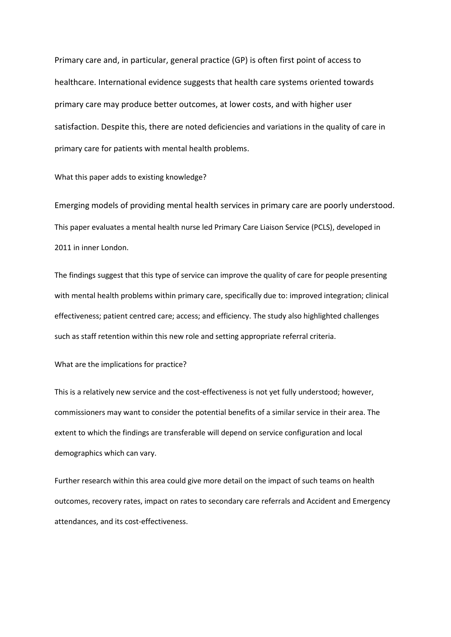Primary care and, in particular, general practice (GP) is often first point of access to healthcare. International evidence suggests that health care systems oriented towards primary care may produce better outcomes, at lower costs, and with higher user satisfaction. Despite this, there are noted deficiencies and variations in the quality of care in primary care for patients with mental health problems.

What this paper adds to existing knowledge?

Emerging models of providing mental health services in primary care are poorly understood. This paper evaluates a mental health nurse led Primary Care Liaison Service (PCLS), developed in 2011 in inner London.

The findings suggest that this type of service can improve the quality of care for people presenting with mental health problems within primary care, specifically due to: improved integration; clinical effectiveness; patient centred care; access; and efficiency. The study also highlighted challenges such as staff retention within this new role and setting appropriate referral criteria.

What are the implications for practice?

This is a relatively new service and the cost-effectiveness is not yet fully understood; however, commissioners may want to consider the potential benefits of a similar service in their area. The extent to which the findings are transferable will depend on service configuration and local demographics which can vary.

Further research within this area could give more detail on the impact of such teams on health outcomes, recovery rates, impact on rates to secondary care referrals and Accident and Emergency attendances, and its cost-effectiveness.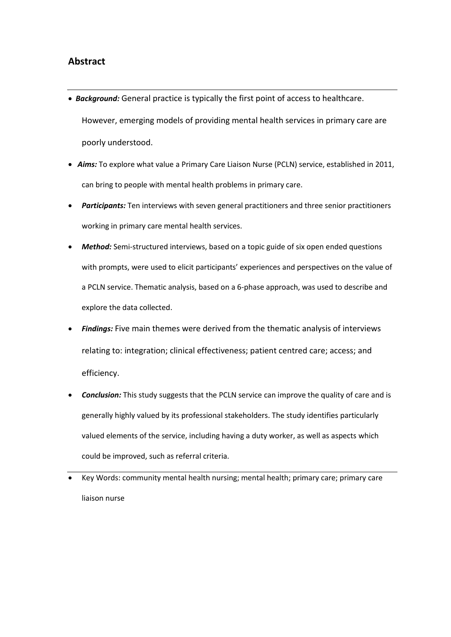# **Abstract**

- *Background:* General practice is typically the first point of access to healthcare. However, emerging models of providing mental health services in primary care are poorly understood.
- *Aims:* To explore what value a Primary Care Liaison Nurse (PCLN) service, established in 2011, can bring to people with mental health problems in primary care.
- *Participants:* Ten interviews with seven general practitioners and three senior practitioners working in primary care mental health services.
- *Method:* Semi-structured interviews, based on a topic guide of six open ended questions with prompts, were used to elicit participants' experiences and perspectives on the value of a PCLN service. Thematic analysis, based on a 6-phase approach, was used to describe and explore the data collected.
- *Findings:* Five main themes were derived from the thematic analysis of interviews relating to: integration; clinical effectiveness; patient centred care; access; and efficiency.
- *Conclusion:* This study suggests that the PCLN service can improve the quality of care and is generally highly valued by its professional stakeholders. The study identifies particularly valued elements of the service, including having a duty worker, as well as aspects which could be improved, such as referral criteria.
- Key Words: community mental health nursing; mental health; primary care; primary care liaison nurse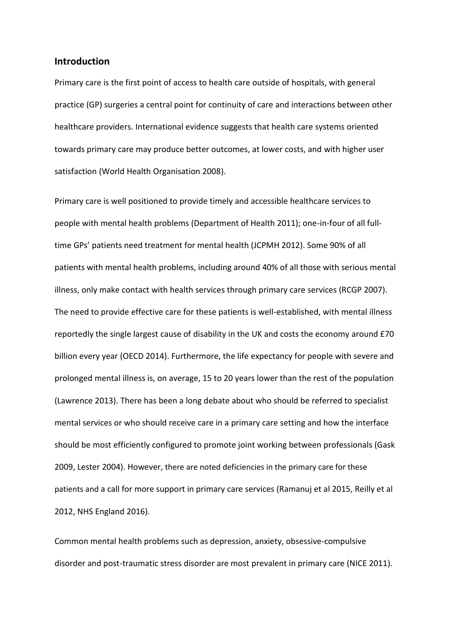# **Introduction**

Primary care is the first point of access to health care outside of hospitals, with general practice (GP) surgeries a central point for continuity of care and interactions between other healthcare providers. International evidence suggests that health care systems oriented towards primary care may produce better outcomes, at lower costs, and with higher user satisfaction (World Health Organisation 2008).

Primary care is well positioned to provide timely and accessible healthcare services to people with mental health problems (Department of Health 2011); one-in-four of all fulltime GPs' patients need treatment for mental health (JCPMH 2012). Some 90% of all patients with mental health problems, including around 40% of all those with serious mental illness, only make contact with health services through primary care services (RCGP 2007). The need to provide effective care for these patients is well-established, with mental illness reportedly the single largest cause of disability in the UK and costs the economy around £70 billion every year (OECD 2014). Furthermore, the life expectancy for people with severe and prolonged mental illness is, on average, 15 to 20 years lower than the rest of the population (Lawrence 2013). There has been a long debate about who should be referred to specialist mental services or who should receive care in a primary care setting and how the interface should be most efficiently configured to promote joint working between professionals (Gask 2009, Lester 2004). However, there are noted deficiencies in the primary care for these patients and a call for more support in primary care services (Ramanuj et al 2015, Reilly et al 2012, NHS England 2016).

Common mental health problems such as depression, anxiety, obsessive-compulsive disorder and post-traumatic stress disorder are most prevalent in primary care (NICE 2011).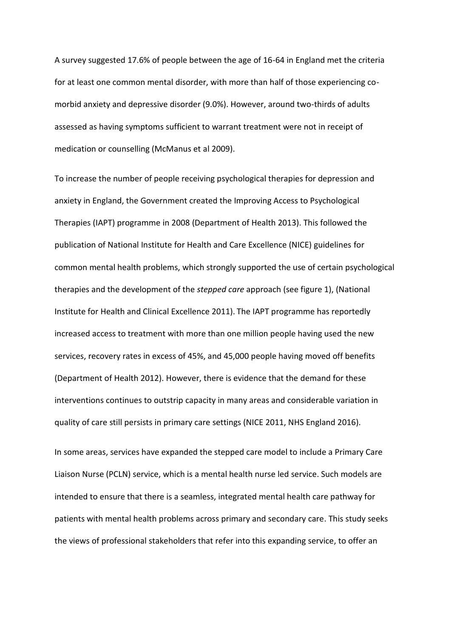A survey suggested 17.6% of people between the age of 16-64 in England met the criteria for at least one common mental disorder, with more than half of those experiencing comorbid anxiety and depressive disorder (9.0%). However, around two-thirds of adults assessed as having symptoms sufficient to warrant treatment were not in receipt of medication or counselling (McManus et al 2009).

To increase the number of people receiving psychological therapies for depression and anxiety in England, the Government created the Improving Access to Psychological Therapies (IAPT) programme in 2008 (Department of Health 2013). This followed the publication of National Institute for Health and Care Excellence (NICE) guidelines for common mental health problems, which strongly supported the use of certain psychological therapies and the development of the *stepped care* approach (see figure 1), (National Institute for Health and Clinical Excellence 2011). The IAPT programme has reportedly increased access to treatment with more than one million people having used the new services, recovery rates in excess of 45%, and 45,000 people having moved off benefits (Department of Health 2012). However, there is evidence that the demand for these interventions continues to outstrip capacity in many areas and considerable variation in quality of care still persists in primary care settings (NICE 2011, NHS England 2016).

In some areas, services have expanded the stepped care model to include a Primary Care Liaison Nurse (PCLN) service, which is a mental health nurse led service. Such models are intended to ensure that there is a seamless, integrated mental health care pathway for patients with mental health problems across primary and secondary care. This study seeks the views of professional stakeholders that refer into this expanding service, to offer an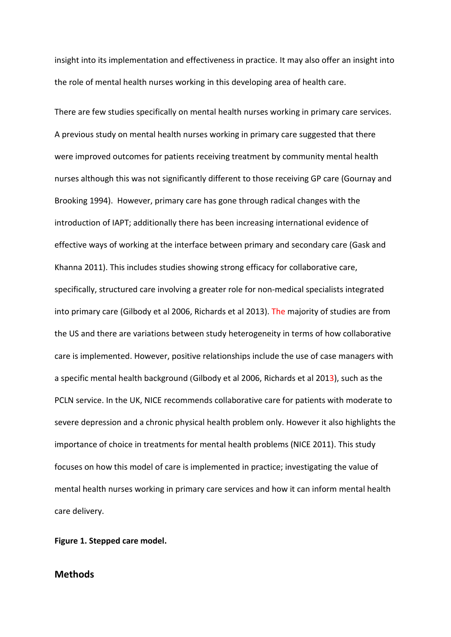insight into its implementation and effectiveness in practice. It may also offer an insight into the role of mental health nurses working in this developing area of health care.

There are few studies specifically on mental health nurses working in primary care services. A previous study on mental health nurses working in primary care suggested that there were improved outcomes for patients receiving treatment by community mental health nurses although this was not significantly different to those receiving GP care (Gournay and Brooking 1994). However, primary care has gone through radical changes with the introduction of IAPT; additionally there has been increasing international evidence of effective ways of working at the interface between primary and secondary care (Gask and Khanna 2011). This includes studies showing strong efficacy for collaborative care, specifically, structured care involving a greater role for non-medical specialists integrated into primary care (Gilbody et al 2006, Richards et al 2013). The majority of studies are from the US and there are variations between study heterogeneity in terms of how collaborative care is implemented. However, positive relationships include the use of case managers with a specific mental health background (Gilbody et al 2006, Richards et al 2013), such as the PCLN service. In the UK, NICE recommends collaborative care for patients with moderate to severe depression and a chronic physical health problem only. However it also highlights the importance of choice in treatments for mental health problems (NICE 2011). This study focuses on how this model of care is implemented in practice; investigating the value of mental health nurses working in primary care services and how it can inform mental health care delivery.

**Figure 1. Stepped care model.**

## **Methods**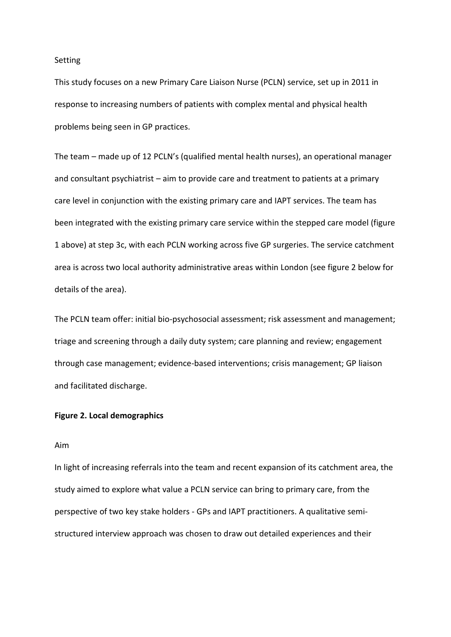Setting

This study focuses on a new Primary Care Liaison Nurse (PCLN) service, set up in 2011 in response to increasing numbers of patients with complex mental and physical health problems being seen in GP practices.

The team – made up of 12 PCLN's (qualified mental health nurses), an operational manager and consultant psychiatrist – aim to provide care and treatment to patients at a primary care level in conjunction with the existing primary care and IAPT services. The team has been integrated with the existing primary care service within the stepped care model (figure 1 above) at step 3c, with each PCLN working across five GP surgeries. The service catchment area is across two local authority administrative areas within London (see figure 2 below for details of the area).

The PCLN team offer: initial bio-psychosocial assessment; risk assessment and management; triage and screening through a daily duty system; care planning and review; engagement through case management; evidence-based interventions; crisis management; GP liaison and facilitated discharge.

#### **Figure 2. Local demographics**

#### Aim

In light of increasing referrals into the team and recent expansion of its catchment area, the study aimed to explore what value a PCLN service can bring to primary care, from the perspective of two key stake holders - GPs and IAPT practitioners. A qualitative semistructured interview approach was chosen to draw out detailed experiences and their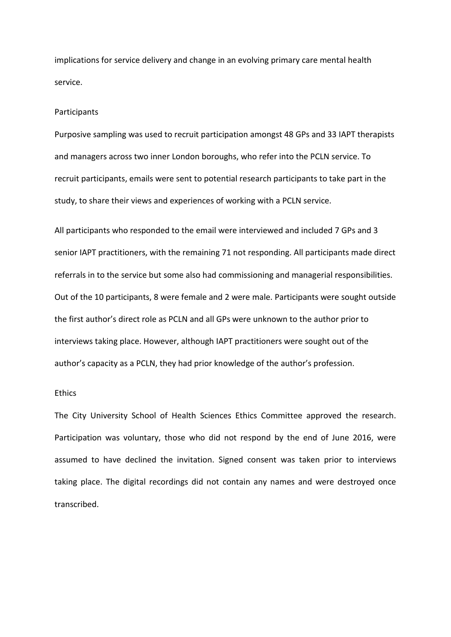implications for service delivery and change in an evolving primary care mental health service.

#### **Participants**

Purposive sampling was used to recruit participation amongst 48 GPs and 33 IAPT therapists and managers across two inner London boroughs, who refer into the PCLN service. To recruit participants, emails were sent to potential research participants to take part in the study, to share their views and experiences of working with a PCLN service.

All participants who responded to the email were interviewed and included 7 GPs and 3 senior IAPT practitioners, with the remaining 71 not responding. All participants made direct referrals in to the service but some also had commissioning and managerial responsibilities. Out of the 10 participants, 8 were female and 2 were male. Participants were sought outside the first author's direct role as PCLN and all GPs were unknown to the author prior to interviews taking place. However, although IAPT practitioners were sought out of the author's capacity as a PCLN, they had prior knowledge of the author's profession.

#### **Ethics**

The City University School of Health Sciences Ethics Committee approved the research. Participation was voluntary, those who did not respond by the end of June 2016, were assumed to have declined the invitation. Signed consent was taken prior to interviews taking place. The digital recordings did not contain any names and were destroyed once transcribed.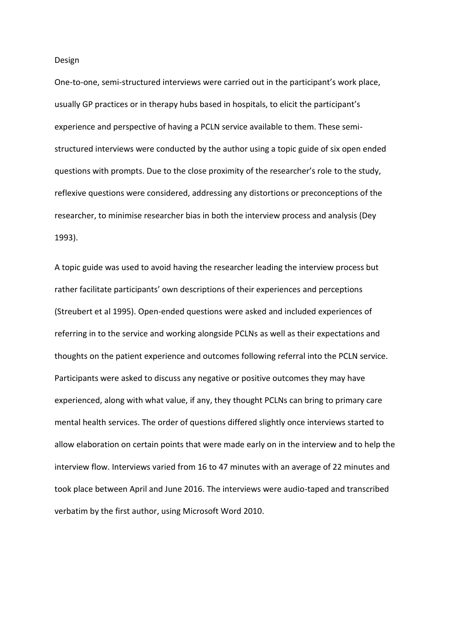Design

One-to-one, semi-structured interviews were carried out in the participant's work place, usually GP practices or in therapy hubs based in hospitals, to elicit the participant's experience and perspective of having a PCLN service available to them. These semistructured interviews were conducted by the author using a topic guide of six open ended questions with prompts. Due to the close proximity of the researcher's role to the study, reflexive questions were considered, addressing any distortions or preconceptions of the researcher, to minimise researcher bias in both the interview process and analysis (Dey 1993).

A topic guide was used to avoid having the researcher leading the interview process but rather facilitate participants' own descriptions of their experiences and perceptions (Streubert et al 1995). Open-ended questions were asked and included experiences of referring in to the service and working alongside PCLNs as well as their expectations and thoughts on the patient experience and outcomes following referral into the PCLN service. Participants were asked to discuss any negative or positive outcomes they may have experienced, along with what value, if any, they thought PCLNs can bring to primary care mental health services. The order of questions differed slightly once interviews started to allow elaboration on certain points that were made early on in the interview and to help the interview flow. Interviews varied from 16 to 47 minutes with an average of 22 minutes and took place between April and June 2016. The interviews were audio-taped and transcribed verbatim by the first author, using Microsoft Word 2010.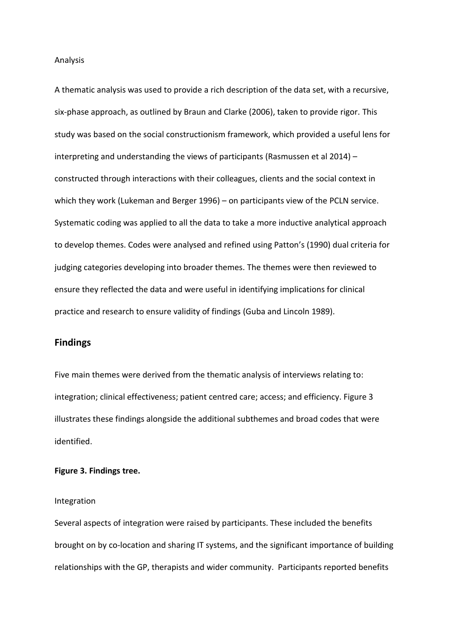#### Analysis

A thematic analysis was used to provide a rich description of the data set, with a recursive, six-phase approach, as outlined by Braun and Clarke (2006), taken to provide rigor. This study was based on the social constructionism framework, which provided a useful lens for interpreting and understanding the views of participants (Rasmussen et al 2014) – constructed through interactions with their colleagues, clients and the social context in which they work (Lukeman and Berger 1996) – on participants view of the PCLN service. Systematic coding was applied to all the data to take a more inductive analytical approach to develop themes. Codes were analysed and refined using Patton's (1990) dual criteria for judging categories developing into broader themes. The themes were then reviewed to ensure they reflected the data and were useful in identifying implications for clinical practice and research to ensure validity of findings (Guba and Lincoln 1989).

## **Findings**

Five main themes were derived from the thematic analysis of interviews relating to: integration; clinical effectiveness; patient centred care; access; and efficiency. Figure 3 illustrates these findings alongside the additional subthemes and broad codes that were identified.

#### **Figure 3. Findings tree.**

#### Integration

Several aspects of integration were raised by participants. These included the benefits brought on by co-location and sharing IT systems, and the significant importance of building relationships with the GP, therapists and wider community. Participants reported benefits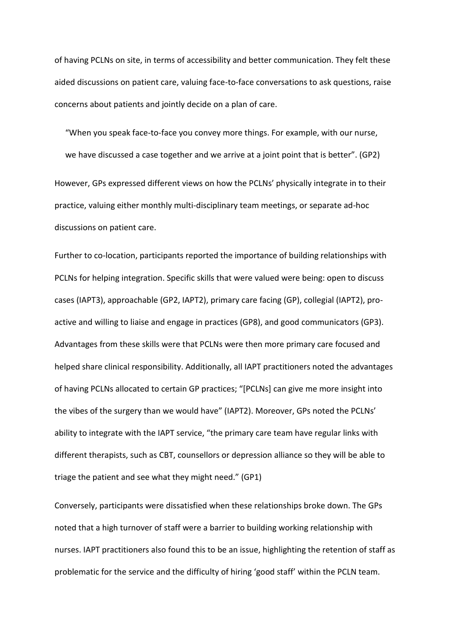of having PCLNs on site, in terms of accessibility and better communication. They felt these aided discussions on patient care, valuing face-to-face conversations to ask questions, raise concerns about patients and jointly decide on a plan of care.

"When you speak face-to-face you convey more things. For example, with our nurse, we have discussed a case together and we arrive at a joint point that is better". (GP2) However, GPs expressed different views on how the PCLNs' physically integrate in to their practice, valuing either monthly multi-disciplinary team meetings, or separate ad-hoc discussions on patient care.

Further to co-location, participants reported the importance of building relationships with PCLNs for helping integration. Specific skills that were valued were being: open to discuss cases (IAPT3), approachable (GP2, IAPT2), primary care facing (GP), collegial (IAPT2), proactive and willing to liaise and engage in practices (GP8), and good communicators (GP3). Advantages from these skills were that PCLNs were then more primary care focused and helped share clinical responsibility. Additionally, all IAPT practitioners noted the advantages of having PCLNs allocated to certain GP practices; "[PCLNs] can give me more insight into the vibes of the surgery than we would have" (IAPT2). Moreover, GPs noted the PCLNs' ability to integrate with the IAPT service, "the primary care team have regular links with different therapists, such as CBT, counsellors or depression alliance so they will be able to triage the patient and see what they might need." (GP1)

Conversely, participants were dissatisfied when these relationships broke down. The GPs noted that a high turnover of staff were a barrier to building working relationship with nurses. IAPT practitioners also found this to be an issue, highlighting the retention of staff as problematic for the service and the difficulty of hiring 'good staff' within the PCLN team.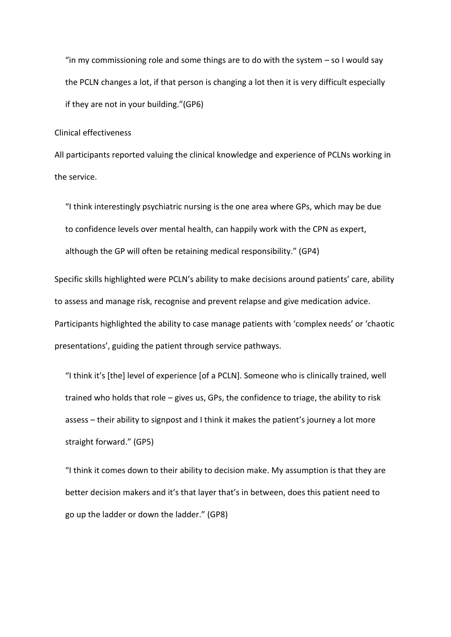"in my commissioning role and some things are to do with the system  $-$  so I would say the PCLN changes a lot, if that person is changing a lot then it is very difficult especially if they are not in your building."(GP6)

Clinical effectiveness

All participants reported valuing the clinical knowledge and experience of PCLNs working in the service.

"I think interestingly psychiatric nursing is the one area where GPs, which may be due to confidence levels over mental health, can happily work with the CPN as expert, although the GP will often be retaining medical responsibility." (GP4)

Specific skills highlighted were PCLN's ability to make decisions around patients' care, ability to assess and manage risk, recognise and prevent relapse and give medication advice. Participants highlighted the ability to case manage patients with 'complex needs' or 'chaotic presentations', guiding the patient through service pathways.

"I think it's [the] level of experience [of a PCLN]. Someone who is clinically trained, well trained who holds that role – gives us, GPs, the confidence to triage, the ability to risk assess – their ability to signpost and I think it makes the patient's journey a lot more straight forward." (GP5)

"I think it comes down to their ability to decision make. My assumption is that they are better decision makers and it's that layer that's in between, does this patient need to go up the ladder or down the ladder." (GP8)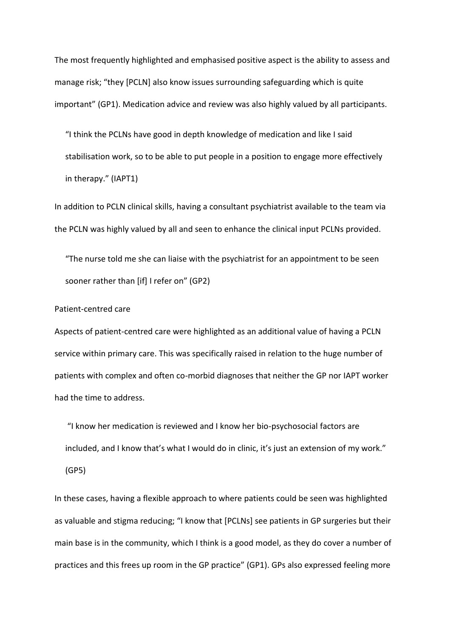The most frequently highlighted and emphasised positive aspect is the ability to assess and manage risk; "they [PCLN] also know issues surrounding safeguarding which is quite important" (GP1). Medication advice and review was also highly valued by all participants.

"I think the PCLNs have good in depth knowledge of medication and like I said stabilisation work, so to be able to put people in a position to engage more effectively in therapy." (IAPT1)

In addition to PCLN clinical skills, having a consultant psychiatrist available to the team via the PCLN was highly valued by all and seen to enhance the clinical input PCLNs provided.

"The nurse told me she can liaise with the psychiatrist for an appointment to be seen sooner rather than [if] I refer on" (GP2)

#### Patient-centred care

Aspects of patient-centred care were highlighted as an additional value of having a PCLN service within primary care. This was specifically raised in relation to the huge number of patients with complex and often co-morbid diagnoses that neither the GP nor IAPT worker had the time to address.

"I know her medication is reviewed and I know her bio-psychosocial factors are included, and I know that's what I would do in clinic, it's just an extension of my work." (GP5)

In these cases, having a flexible approach to where patients could be seen was highlighted as valuable and stigma reducing; "I know that [PCLNs] see patients in GP surgeries but their main base is in the community, which I think is a good model, as they do cover a number of practices and this frees up room in the GP practice" (GP1). GPs also expressed feeling more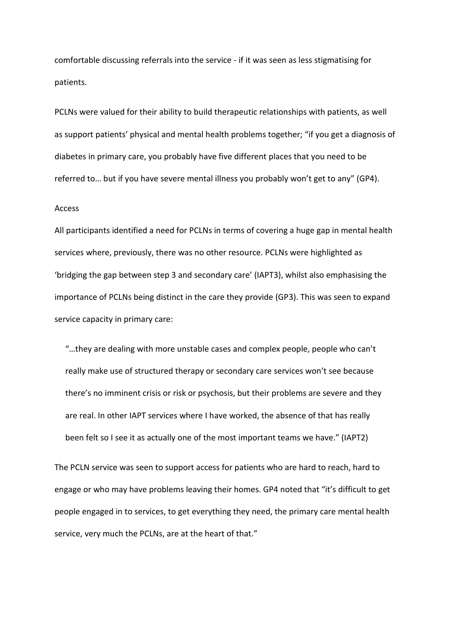comfortable discussing referrals into the service - if it was seen as less stigmatising for patients.

PCLNs were valued for their ability to build therapeutic relationships with patients, as well as support patients' physical and mental health problems together; "if you get a diagnosis of diabetes in primary care, you probably have five different places that you need to be referred to… but if you have severe mental illness you probably won't get to any" (GP4).

#### Access

All participants identified a need for PCLNs in terms of covering a huge gap in mental health services where, previously, there was no other resource. PCLNs were highlighted as 'bridging the gap between step 3 and secondary care' (IAPT3), whilst also emphasising the importance of PCLNs being distinct in the care they provide (GP3). This was seen to expand service capacity in primary care:

"…they are dealing with more unstable cases and complex people, people who can't really make use of structured therapy or secondary care services won't see because there's no imminent crisis or risk or psychosis, but their problems are severe and they are real. In other IAPT services where I have worked, the absence of that has really been felt so I see it as actually one of the most important teams we have." (IAPT2)

The PCLN service was seen to support access for patients who are hard to reach, hard to engage or who may have problems leaving their homes. GP4 noted that "it's difficult to get people engaged in to services, to get everything they need, the primary care mental health service, very much the PCLNs, are at the heart of that."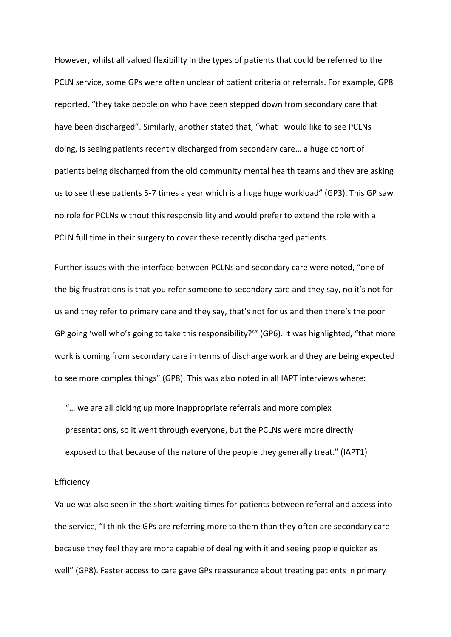However, whilst all valued flexibility in the types of patients that could be referred to the PCLN service, some GPs were often unclear of patient criteria of referrals. For example, GP8 reported, "they take people on who have been stepped down from secondary care that have been discharged". Similarly, another stated that, "what I would like to see PCLNs doing, is seeing patients recently discharged from secondary care… a huge cohort of patients being discharged from the old community mental health teams and they are asking us to see these patients 5-7 times a year which is a huge huge workload" (GP3). This GP saw no role for PCLNs without this responsibility and would prefer to extend the role with a PCLN full time in their surgery to cover these recently discharged patients.

Further issues with the interface between PCLNs and secondary care were noted, "one of the big frustrations is that you refer someone to secondary care and they say, no it's not for us and they refer to primary care and they say, that's not for us and then there's the poor GP going 'well who's going to take this responsibility?'" (GP6). It was highlighted, "that more work is coming from secondary care in terms of discharge work and they are being expected to see more complex things" (GP8). This was also noted in all IAPT interviews where:

"… we are all picking up more inappropriate referrals and more complex presentations, so it went through everyone, but the PCLNs were more directly exposed to that because of the nature of the people they generally treat." (IAPT1)

#### **Efficiency**

Value was also seen in the short waiting times for patients between referral and access into the service, "I think the GPs are referring more to them than they often are secondary care because they feel they are more capable of dealing with it and seeing people quicker as well" (GP8). Faster access to care gave GPs reassurance about treating patients in primary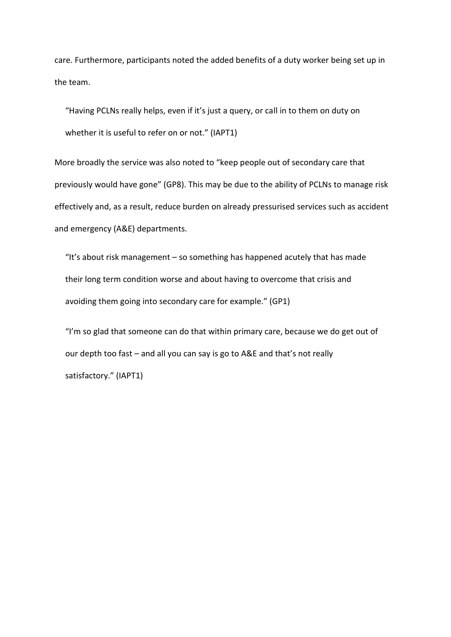care. Furthermore, participants noted the added benefits of a duty worker being set up in the team.

"Having PCLNs really helps, even if it's just a query, or call in to them on duty on whether it is useful to refer on or not." (IAPT1)

More broadly the service was also noted to "keep people out of secondary care that previously would have gone" (GP8). This may be due to the ability of PCLNs to manage risk effectively and, as a result, reduce burden on already pressurised services such as accident and emergency (A&E) departments.

"It's about risk management – so something has happened acutely that has made their long term condition worse and about having to overcome that crisis and avoiding them going into secondary care for example." (GP1)

"I'm so glad that someone can do that within primary care, because we do get out of our depth too fast – and all you can say is go to A&E and that's not really satisfactory." (IAPT1)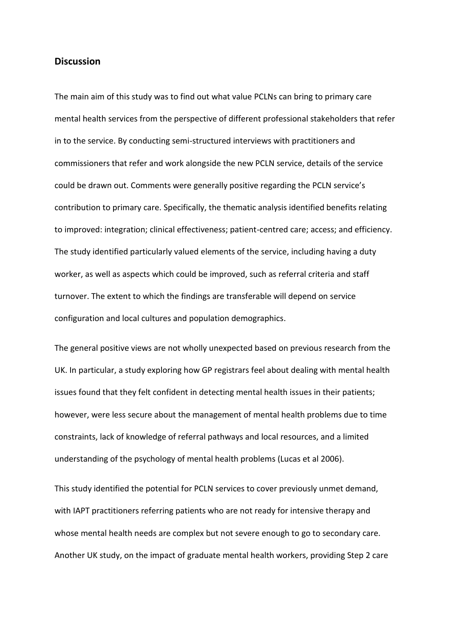# **Discussion**

The main aim of this study was to find out what value PCLNs can bring to primary care mental health services from the perspective of different professional stakeholders that refer in to the service. By conducting semi-structured interviews with practitioners and commissioners that refer and work alongside the new PCLN service, details of the service could be drawn out. Comments were generally positive regarding the PCLN service's contribution to primary care. Specifically, the thematic analysis identified benefits relating to improved: integration; clinical effectiveness; patient-centred care; access; and efficiency. The study identified particularly valued elements of the service, including having a duty worker, as well as aspects which could be improved, such as referral criteria and staff turnover. The extent to which the findings are transferable will depend on service configuration and local cultures and population demographics.

The general positive views are not wholly unexpected based on previous research from the UK. In particular, a study exploring how GP registrars feel about dealing with mental health issues found that they felt confident in detecting mental health issues in their patients; however, were less secure about the management of mental health problems due to time constraints, lack of knowledge of referral pathways and local resources, and a limited understanding of the psychology of mental health problems (Lucas et al 2006).

This study identified the potential for PCLN services to cover previously unmet demand, with IAPT practitioners referring patients who are not ready for intensive therapy and whose mental health needs are complex but not severe enough to go to secondary care. Another UK study, on the impact of graduate mental health workers, providing Step 2 care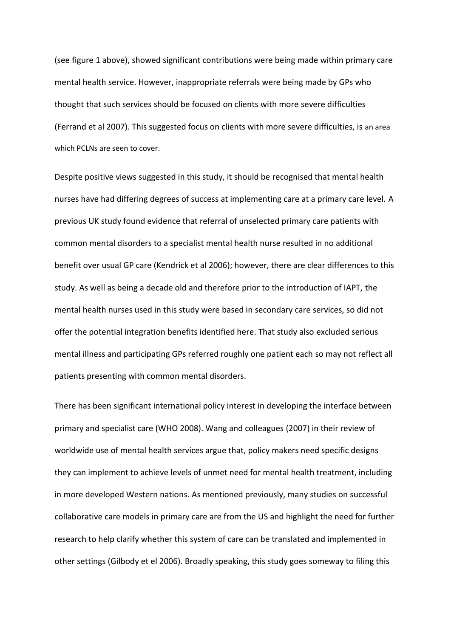(see figure 1 above), showed significant contributions were being made within primary care mental health service. However, inappropriate referrals were being made by GPs who thought that such services should be focused on clients with more severe difficulties (Ferrand et al 2007). This suggested focus on clients with more severe difficulties, is an area which PCLNs are seen to cover.

Despite positive views suggested in this study, it should be recognised that mental health nurses have had differing degrees of success at implementing care at a primary care level. A previous UK study found evidence that referral of unselected primary care patients with common mental disorders to a specialist mental health nurse resulted in no additional benefit over usual GP care (Kendrick et al 2006); however, there are clear differences to this study. As well as being a decade old and therefore prior to the introduction of IAPT, the mental health nurses used in this study were based in secondary care services, so did not offer the potential integration benefits identified here. That study also excluded serious mental illness and participating GPs referred roughly one patient each so may not reflect all patients presenting with common mental disorders.

There has been significant international policy interest in developing the interface between primary and specialist care (WHO 2008). Wang and colleagues (2007) in their review of worldwide use of mental health services argue that, policy makers need specific designs they can implement to achieve levels of unmet need for mental health treatment, including in more developed Western nations. As mentioned previously, many studies on successful collaborative care models in primary care are from the US and highlight the need for further research to help clarify whether this system of care can be translated and implemented in other settings (Gilbody et el 2006). Broadly speaking, this study goes someway to filing this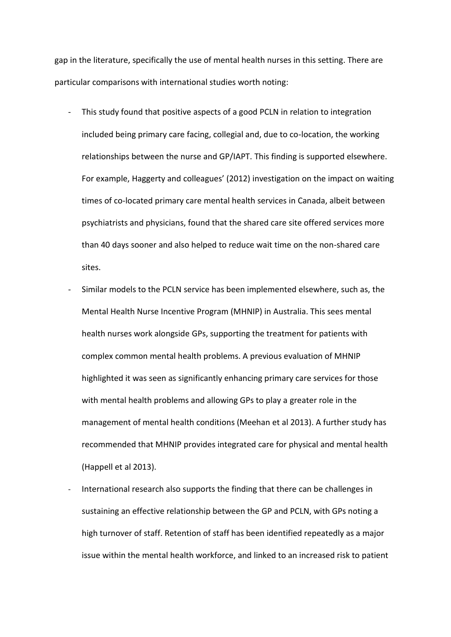gap in the literature, specifically the use of mental health nurses in this setting. There are particular comparisons with international studies worth noting:

- This study found that positive aspects of a good PCLN in relation to integration included being primary care facing, collegial and, due to co-location, the working relationships between the nurse and GP/IAPT. This finding is supported elsewhere. For example, Haggerty and colleagues' (2012) investigation on the impact on waiting times of co-located primary care mental health services in Canada, albeit between psychiatrists and physicians, found that the shared care site offered services more than 40 days sooner and also helped to reduce wait time on the non-shared care sites.
- Similar models to the PCLN service has been implemented elsewhere, such as, the Mental Health Nurse Incentive Program (MHNIP) in Australia. This sees mental health nurses work alongside GPs, supporting the treatment for patients with complex common mental health problems. A previous evaluation of MHNIP highlighted it was seen as significantly enhancing primary care services for those with mental health problems and allowing GPs to play a greater role in the management of mental health conditions (Meehan et al 2013). A further study has recommended that MHNIP provides integrated care for physical and mental health (Happell et al 2013).
- International research also supports the finding that there can be challenges in sustaining an effective relationship between the GP and PCLN, with GPs noting a high turnover of staff. Retention of staff has been identified repeatedly as a major issue within the mental health workforce, and linked to an increased risk to patient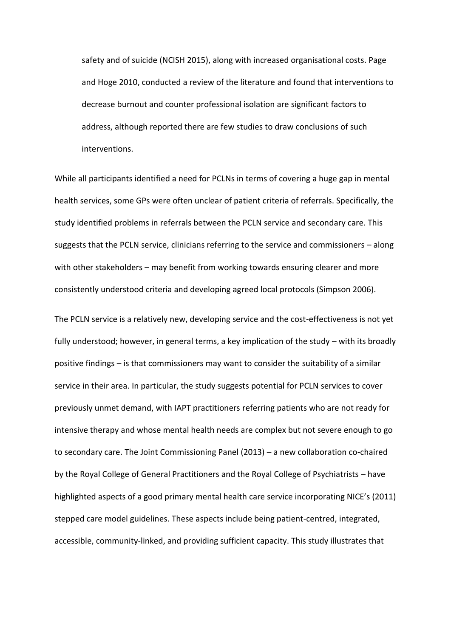safety and of suicide (NCISH 2015), along with increased organisational costs. Page and Hoge 2010, conducted a review of the literature and found that interventions to decrease burnout and counter professional isolation are significant factors to address, although reported there are few studies to draw conclusions of such interventions.

While all participants identified a need for PCLNs in terms of covering a huge gap in mental health services, some GPs were often unclear of patient criteria of referrals. Specifically, the study identified problems in referrals between the PCLN service and secondary care. This suggests that the PCLN service, clinicians referring to the service and commissioners – along with other stakeholders – may benefit from working towards ensuring clearer and more consistently understood criteria and developing agreed local protocols (Simpson 2006).

The PCLN service is a relatively new, developing service and the cost-effectiveness is not yet fully understood; however, in general terms, a key implication of the study – with its broadly positive findings – is that commissioners may want to consider the suitability of a similar service in their area. In particular, the study suggests potential for PCLN services to cover previously unmet demand, with IAPT practitioners referring patients who are not ready for intensive therapy and whose mental health needs are complex but not severe enough to go to secondary care. The Joint Commissioning Panel (2013) – a new collaboration co-chaired by the Royal College of General Practitioners and the Royal College of Psychiatrists – have highlighted aspects of a good primary mental health care service incorporating NICE's (2011) stepped care model guidelines. These aspects include being patient-centred, integrated, accessible, community-linked, and providing sufficient capacity. This study illustrates that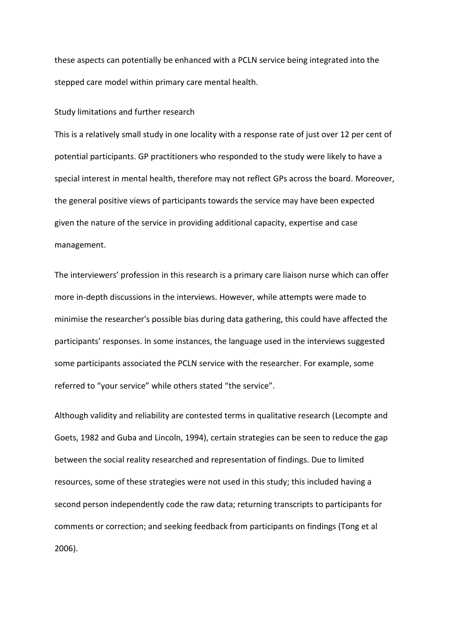these aspects can potentially be enhanced with a PCLN service being integrated into the stepped care model within primary care mental health.

#### Study limitations and further research

This is a relatively small study in one locality with a response rate of just over 12 per cent of potential participants. GP practitioners who responded to the study were likely to have a special interest in mental health, therefore may not reflect GPs across the board. Moreover, the general positive views of participants towards the service may have been expected given the nature of the service in providing additional capacity, expertise and case management.

The interviewers' profession in this research is a primary care liaison nurse which can offer more in-depth discussions in the interviews. However, while attempts were made to minimise the researcher's possible bias during data gathering, this could have affected the participants' responses. In some instances, the language used in the interviews suggested some participants associated the PCLN service with the researcher. For example, some referred to "your service" while others stated "the service".

Although validity and reliability are contested terms in qualitative research (Lecompte and Goets, 1982 and Guba and Lincoln, 1994), certain strategies can be seen to reduce the gap between the social reality researched and representation of findings. Due to limited resources, some of these strategies were not used in this study; this included having a second person independently code the raw data; returning transcripts to participants for comments or correction; and seeking feedback from participants on findings (Tong et al 2006).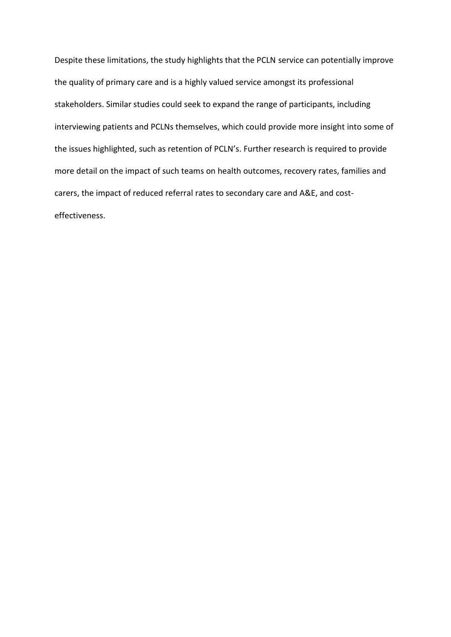Despite these limitations, the study highlights that the PCLN service can potentially improve the quality of primary care and is a highly valued service amongst its professional stakeholders. Similar studies could seek to expand the range of participants, including interviewing patients and PCLNs themselves, which could provide more insight into some of the issues highlighted, such as retention of PCLN's. Further research is required to provide more detail on the impact of such teams on health outcomes, recovery rates, families and carers, the impact of reduced referral rates to secondary care and A&E, and costeffectiveness.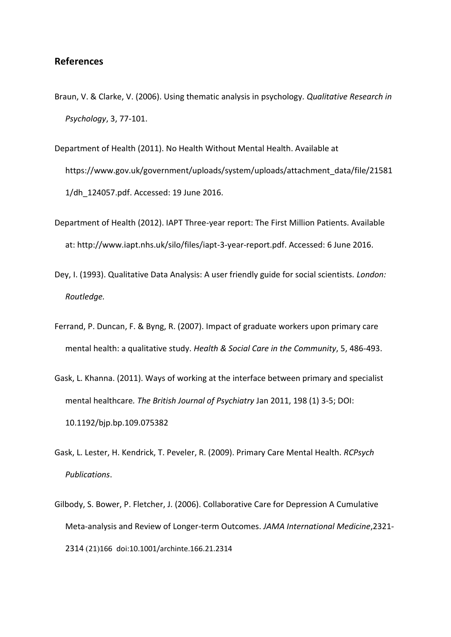# **References**

- Braun, V. & Clarke, V. (2006). Using thematic analysis in psychology. *Qualitative Research in Psychology*, 3, 77-101.
- Department of Health (2011). No Health Without Mental Health. Available at [https://www.gov.uk/government/uploads/system/uploads/attachment\\_data/file/21581](https://www.gov.uk/government/uploads/system/uploads/attachment_data/file/215811/dh_124057.pdf) [1/dh\\_124057.pdf.](https://www.gov.uk/government/uploads/system/uploads/attachment_data/file/215811/dh_124057.pdf) Accessed: 19 June 2016.
- Department of Health (2012). IAPT Three-year report: The First Million Patients. Available at: [http://www.iapt.nhs.uk/silo/files/iapt-3-year-report.pdf.](http://www.iapt.nhs.uk/silo/files/iapt-3-year-report.pdf) Accessed: 6 June 2016.
- Dey, I. (1993). Qualitative Data Analysis: A user friendly guide for social scientists. *London: Routledge.*
- Ferrand, P. Duncan, F. & Byng, R. (2007). Impact of graduate workers upon primary care mental health: a qualitative study. *Health & Social Care in the Community*, 5, 486-493.
- Gask, L. Khanna. (2011). Ways of working at the interface between primary and specialist mental healthcare*. The British Journal of Psychiatry* Jan 2011, 198 (1) 3-5; DOI: 10.1192/bjp.bp.109.075382
- Gask, L. Lester, H. Kendrick, T. Peveler, R. (2009). Primary Care Mental Health. *RCPsych Publications*.
- Gilbody, S. Bower, P. Fletcher, J. (2006). Collaborative Care for Depression A Cumulative Meta-analysis and Review of Longer-term Outcomes. *JAMA International Medicine*,2321- 2314 (21)166 doi:10.1001/archinte.166.21.2314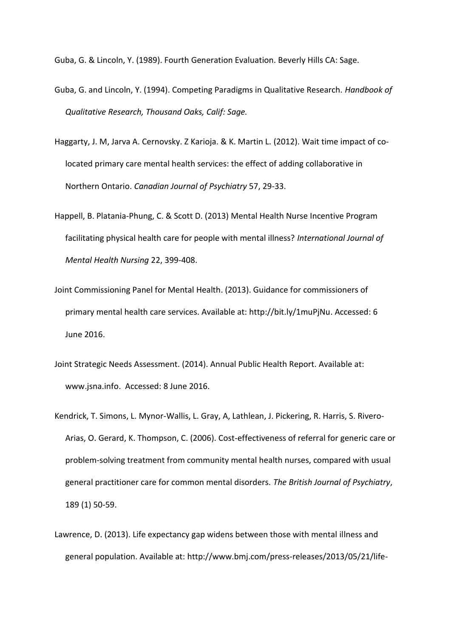Guba, G. & Lincoln, Y. (1989). Fourth Generation Evaluation. Beverly Hills CA: Sage.

- Guba, G. and Lincoln, Y. (1994). Competing Paradigms in Qualitative Research. *Handbook of Qualitative Research, Thousand Oaks, Calif: Sage.*
- Haggarty, J. M, Jarva A. Cernovsky. Z Karioja. & K. Martin L. (2012). Wait time impact of colocated primary care mental health services: the effect of adding collaborative in Northern Ontario. *Canadian Journal of Psychiatry* 57, 29-33.
- Happell, B. Platania-Phung, C. & Scott D. (2013) Mental Health Nurse Incentive Program facilitating physical health care for people with mental illness? *International Journal of Mental Health Nursing* 22, 399-408.
- Joint Commissioning Panel for Mental Health. (2013). Guidance for commissioners of primary mental health care services. Available at: [http://bit.ly/1muPjNu.](http://bit.ly/1muPjNu) Accessed: 6 June 2016.
- Joint Strategic Needs Assessment. (2014). Annual Public Health Report. Available at: [www.jsna.info.](http://www.jsna.info/) Accessed: 8 June 2016.
- Kendrick, T. Simons, L. Mynor-Wallis, L. Gray, A, Lathlean, J. Pickering, R. Harris, S. Rivero-Arias, O. Gerard, K. Thompson, C. (2006). Cost-effectiveness of referral for generic care or problem-solving treatment from community mental health nurses, compared with usual general practitioner care for common mental disorders. *The British Journal of Psychiatry*, 189 (1) 50-59.
- Lawrence, D. (2013). Life expectancy gap widens between those with mental illness and general population. Available at: [http://www.bmj.com/press-releases/2013/05/21/life-](http://www.bmj.com/press-releases/2013/05/21/life-expectancy-gap-widens-between-those-mental-illness-and-general-popula)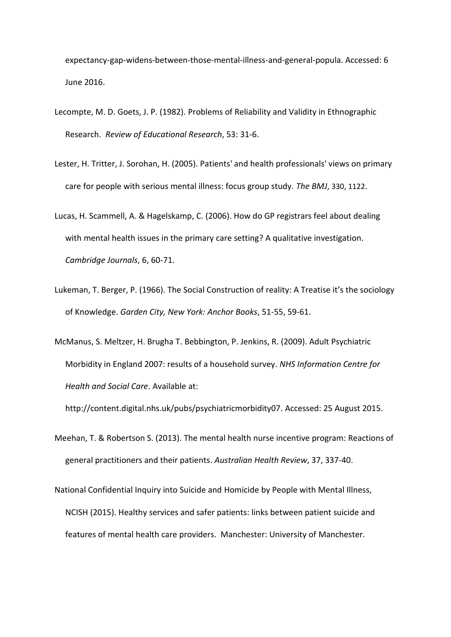[expectancy-gap-widens-between-those-mental-illness-and-general-popula.](http://www.bmj.com/press-releases/2013/05/21/life-expectancy-gap-widens-between-those-mental-illness-and-general-popula) Accessed: 6 June 2016.

- Lecompte, M. D. Goets, J. P. (1982). Problems of Reliability and Validity in Ethnographic Research. *Review of Educational Research*, 53: 31-6.
- Lester, H. Tritter, J. Sorohan, H. (2005). Patients' and health professionals' views on primary care for people with serious mental illness: focus group study. *The BMJ*, 330, 1122.
- Lucas, H. Scammell, A. & Hagelskamp, C. (2006). How do GP registrars feel about dealing with mental health issues in the primary care setting? A qualitative investigation. *Cambridge Journals*, 6, 60-71.
- Lukeman, T. Berger, P. (1966). The Social Construction of reality: A Treatise it's the sociology of Knowledge. *Garden City, New York: Anchor Books*, 51-55, 59-61.
- McManus, S. Meltzer, H. Brugha T. Bebbington, P. Jenkins, R. (2009). Adult Psychiatric Morbidity in England 2007: results of a household survey. *NHS Information Centre for Health and Social Care*. Available at:

[http://content.digital.nhs.uk/pubs/psychiatricmorbidity07.](http://content.digital.nhs.uk/pubs/psychiatricmorbidity07) Accessed: 25 August 2015.

- Meehan, T. & Robertson S. (2013). The mental health nurse incentive program: Reactions of general practitioners and their patients. *Australian Health Review*, 37, 337-40.
- National Confidential Inquiry into Suicide and Homicide by People with Mental Illness, NCISH (2015). Healthy services and safer patients: links between patient suicide and features of mental health care providers. Manchester: University of Manchester.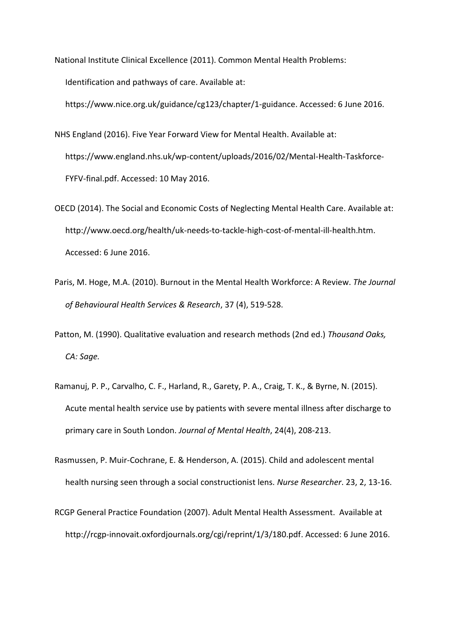National Institute Clinical Excellence (2011). Common Mental Health Problems:

Identification and pathways of care. Available at:

[https://www.nice.org.uk/guidance/cg123/chapter/1-guidance.](https://www.nice.org.uk/guidance/cg123/chapter/1-guidance) Accessed: 6 June 2016.

- NHS England (2016). Five Year Forward View for Mental Health. Available at: [https://www.england.nhs.uk/wp-content/uploads/2016/02/Mental-Health-Taskforce-](https://www.england.nhs.uk/wp-content/uploads/2016/02/Mental-Health-Taskforce-FYFV-final.pdf)[FYFV-final.pdf.](https://www.england.nhs.uk/wp-content/uploads/2016/02/Mental-Health-Taskforce-FYFV-final.pdf) Accessed: 10 May 2016.
- OECD (2014). The Social and Economic Costs of Neglecting Mental Health Care. Available at: [http://www.oecd.org/health/uk-needs-to-tackle-high-cost-of-mental-ill-health.htm.](http://www.oecd.org/health/uk-needs-to-tackle-high-cost-of-mental-ill-health.htm) Accessed: 6 June 2016.
- Paris, M. Hoge, M.A. (2010). Burnout in the Mental Health Workforce: A Review. *The Journal of Behavioural Health Services & Research*, 37 (4), 519-528.
- Patton, M. (1990). Qualitative evaluation and research methods (2nd ed.) *Thousand Oaks, CA: Sage.*
- Ramanuj, P. P., Carvalho, C. F., Harland, R., Garety, P. A., Craig, T. K., & Byrne, N. (2015). Acute mental health service use by patients with severe mental illness after discharge to primary care in South London. *Journal of Mental Health*, 24(4), 208-213.
- Rasmussen, P. Muir-Cochrane, E. & Henderson, A. (2015). Child and adolescent mental health nursing seen through a social constructionist lens. *Nurse Researcher*. 23, 2, 13-16.
- RCGP General Practice Foundation (2007). Adult Mental Health Assessment. Available at [http://rcgp-innovait.oxfordjournals.org/cgi/reprint/1/3/180.pdf.](http://rcgp-innovait.oxfordjournals.org/cgi/reprint/1/3/180.pdf) Accessed: 6 June 2016.